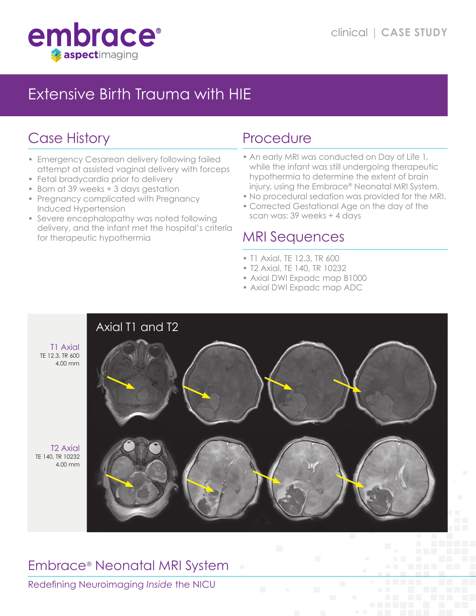

# Extensive Birth Trauma with HIE

# Case History

- Emergency Cesarean delivery following failed attempt at assisted vaginal delivery with forceps
- Fetal bradycardia prior to delivery
- Born at 39 weeks + 3 days gestation
- Pregnancy complicated with Pregnancy Induced Hypertension
- Severe encephalopathy was noted following delivery, and the infant met the hospital's criteria for therapeutic hypothermia

## Procedure

- An early MRI was conducted on Day of Life 1, while the infant was still undergoing therapeutic hypothermia to determine the extent of brain injury, using the Embrace® Neonatal MRI System.
- No procedural sedation was provided for the MRI.
- Corrected Gestational Age on the day of the scan was: 39 weeks + 4 days

#### MRI Sequences

- T1 Axial, TE 12.3, TR 600
- T2 Axial, TE 140, TR 10232
- Axial DWI Expadc map B1000
- Axial DWI Expadc map ADC



## Embrace® Neonatal MRI System

Redefining Neuroimaging *Inside* the NICU